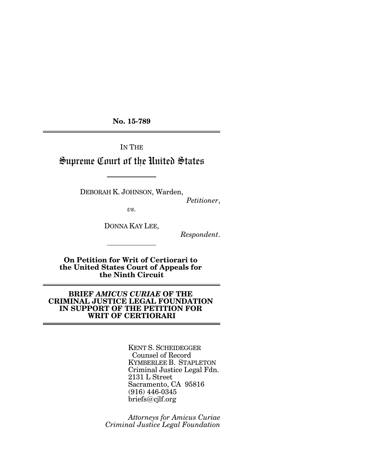**No. 15-789**

IN THE

# Supreme Court of the United States

DEBORAH K. JOHNSON, Warden,

*Petitioner*,

*vs.*

DONNA KAY LEE,

*Respondent*.

**On Petition for Writ of Certiorari to the United States Court of Appeals for the Ninth Circuit**

## **BRIEF** *AMICUS CURIAE* **OF THE CRIMINAL JUSTICE LEGAL FOUNDATION IN SUPPORT OF THE PETITION FOR WRIT OF CERTIORARI**

KENT S. SCHEIDEGGER Counsel of Record KYMBERLEE B. STAPLETON Criminal Justice Legal Fdn. 2131 L Street Sacramento, CA 95816 (916) 446-0345 briefs@cjlf.org

*Attorneys for Amicus Curiae Criminal Justice Legal Foundation*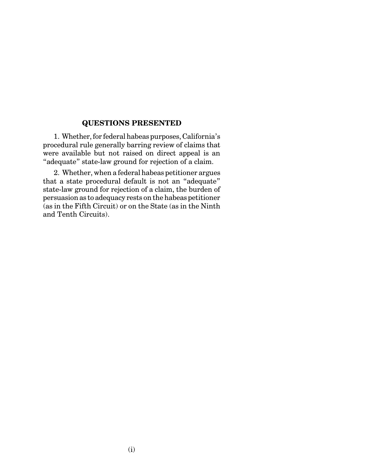# **QUESTIONS PRESENTED**

1. Whether, for federal habeas purposes, California's procedural rule generally barring review of claims that were available but not raised on direct appeal is an "adequate" state-law ground for rejection of a claim.

2. Whether, when a federal habeas petitioner argues that a state procedural default is not an "adequate" state-law ground for rejection of a claim, the burden of persuasion as to adequacy rests on the habeas petitioner (as in the Fifth Circuit) or on the State (as in the Ninth and Tenth Circuits).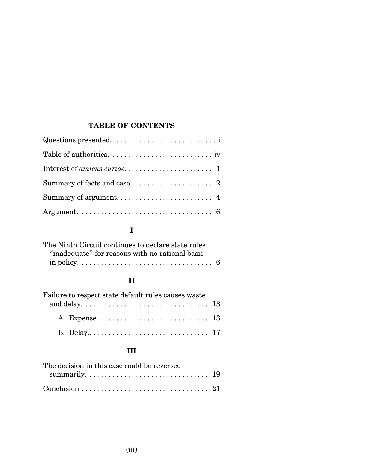# **TABLE OF CONTENTS**

# **I**

| The Ninth Circuit continues to declare state rules |  |
|----------------------------------------------------|--|
| "inadequate" for reasons with no rational basis    |  |
|                                                    |  |

# **II**

| Failure to respect state default rules causes waste |  |
|-----------------------------------------------------|--|
|                                                     |  |
|                                                     |  |
|                                                     |  |

# **III**

| The decision in this case could be reversed                                                                        |  |
|--------------------------------------------------------------------------------------------------------------------|--|
| summarily. $\dots \dots \dots \dots \dots \dots \dots \dots \dots \dots \dots \dots \dots \dots \dots \dots \dots$ |  |
|                                                                                                                    |  |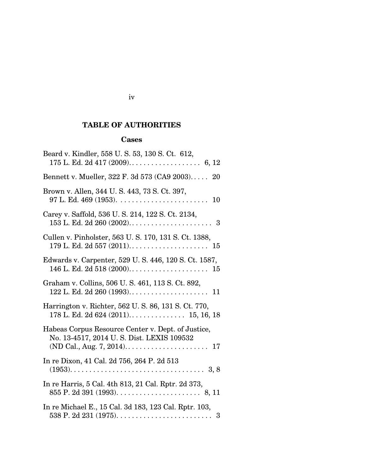# **TABLE OF AUTHORITIES**

# **Cases**

| Beard v. Kindler, 558 U.S. 53, 130 S.Ct. 612,                                                   |
|-------------------------------------------------------------------------------------------------|
| Bennett v. Mueller, 322 F. 3d 573 (CA9 2003)<br>20                                              |
| Brown v. Allen, 344 U.S. 443, 73 S. Ct. 397,<br>10                                              |
| Carey v. Saffold, 536 U.S. 214, 122 S. Ct. 2134,                                                |
| Cullen v. Pinholster, 563 U.S. 170, 131 S. Ct. 1388,                                            |
| Edwards v. Carpenter, 529 U.S. 446, 120 S. Ct. 1587,                                            |
| Graham v. Collins, 506 U.S. 461, 113 S. Ct. 892,                                                |
| Harrington v. Richter, 562 U. S. 86, 131 S. Ct. 770,                                            |
| Habeas Corpus Resource Center v. Dept. of Justice,<br>No. 13-4517, 2014 U.S. Dist. LEXIS 109532 |
| In re Dixon, 41 Cal. 2d 756, 264 P. 2d 513                                                      |
| In re Harris, 5 Cal. 4th 813, 21 Cal. Rptr. 2d 373,                                             |
| In re Michael E., 15 Cal. 3d 183, 123 Cal. Rptr. 103,                                           |

## iv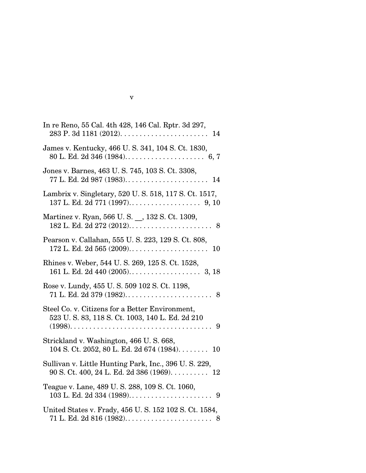| In re Reno, 55 Cal. 4th 428, 146 Cal. Rptr. 3d 297,                                                         |
|-------------------------------------------------------------------------------------------------------------|
| James v. Kentucky, 466 U.S. 341, 104 S.Ct. 1830,                                                            |
| Jones v. Barnes, 463 U.S. 745, 103 S.Ct. 3308,                                                              |
| Lambrix v. Singletary, 520 U.S. 518, 117 S. Ct. 1517,                                                       |
| Martinez v. Ryan, 566 U.S. _, 132 S. Ct. 1309,                                                              |
| Pearson v. Callahan, 555 U.S. 223, 129 S. Ct. 808,                                                          |
| Rhines v. Weber, 544 U.S. 269, 125 S. Ct. 1528,                                                             |
| Rose v. Lundy, 455 U.S. 509 102 S.Ct. 1198,                                                                 |
| Steel Co. v. Citizens for a Better Environment,<br>523 U.S. 83, 118 S. Ct. 1003, 140 L. Ed. 2d 210          |
| Strickland v. Washington, 466 U.S. 668,<br>104 S. Ct. 2052, 80 L. Ed. 2d 674 (1984). $\dots$ 10             |
| Sullivan v. Little Hunting Park, Inc., 396 U.S. 229,<br>$90 S. Ct. 400, 24 L. Ed. 2d 386 (1969). \ldots$ 12 |
| Teague v. Lane, 489 U. S. 288, 109 S. Ct. 1060,<br>$103$ L. Ed. 2d $334$ (1989)<br>- 9                      |
| United States v. Frady, 456 U.S. 152 102 S. Ct. 1584,                                                       |

| ۹ |  |
|---|--|
|   |  |
|   |  |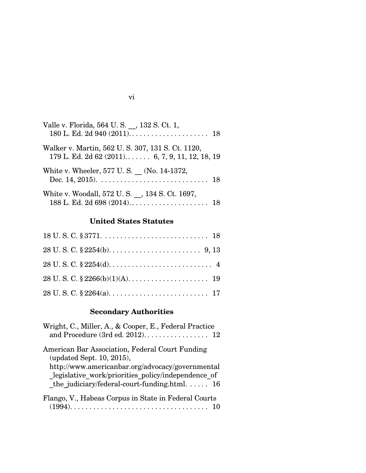| Valle v. Florida, 564 U.S., 132 S.Ct. 1,                                                           |  |
|----------------------------------------------------------------------------------------------------|--|
| Walker v. Martin, 562 U.S. 307, 131 S.Ct. 1120,<br>179 L. Ed. 2d 62 (2011) 6, 7, 9, 11, 12, 18, 19 |  |
| White v. Wheeler, 577 U.S. (No. 14-1372,                                                           |  |
| White v. Woodall, 572 U.S., 134 S.Ct. 1697,                                                        |  |

# **United States Statutes**

# **Secondary Authorities**

| Wright, C., Miller, A., & Cooper, E., Federal Practice                                                                                                                                                                                  |
|-----------------------------------------------------------------------------------------------------------------------------------------------------------------------------------------------------------------------------------------|
| American Bar Association, Federal Court Funding<br>(updated Sept. 10, 2015),<br>http://www.americanbar.org/advocacy/governmental<br>legislative work/priorities policy/independence of<br>the judiciary/federal-court-funding.html $16$ |
| Flango, V., Habeas Corpus in State in Federal Courts                                                                                                                                                                                    |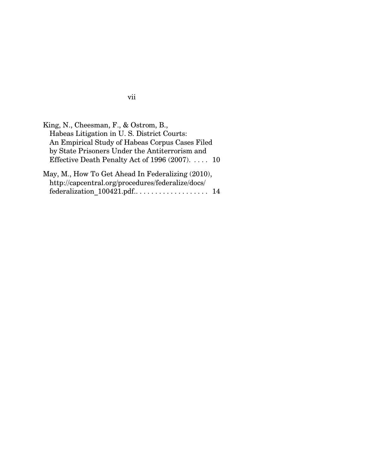| King, N., Cheesman, F., & Ostrom, B.,             |
|---------------------------------------------------|
| Habeas Litigation in U.S. District Courts:        |
| An Empirical Study of Habeas Corpus Cases Filed   |
| by State Prisoners Under the Antiterrorism and    |
| Effective Death Penalty Act of 1996 $(2007)$ 10   |
| May, M., How To Get Ahead In Federalizing (2010), |
| http://capcentral.org/procedures/federalize/docs/ |
| federalization 100421.pdf 14                      |

vii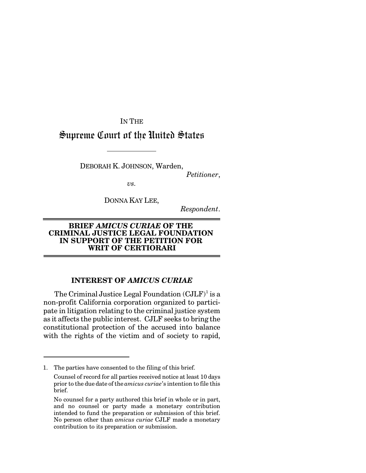IN THE

# Supreme Court of the United States

DEBORAH K. JOHNSON, Warden,

*Petitioner*,

*vs.*

DONNA KAY LEE,

*Respondent*.

## **BRIEF** *AMICUS CURIAE* **OF THE CRIMINAL JUSTICE LEGAL FOUNDATION IN SUPPORT OF THE PETITION FOR WRIT OF CERTIORARI**

## **INTEREST OF** *AMICUS CURIAE*

The Criminal Justice Legal Foundation  $(CJLF)^{1}$  is a non-profit California corporation organized to participate in litigation relating to the criminal justice system as it affects the public interest. CJLF seeks to bring the constitutional protection of the accused into balance with the rights of the victim and of society to rapid,

<sup>1.</sup> The parties have consented to the filing of this brief.

Counsel of record for all parties received notice at least 10 days prior to the due date ofthe *amicus curiae*'s intention to file this brief.

No counsel for a party authored this brief in whole or in part, and no counsel or party made a monetary contribution intended to fund the preparation or submission of this brief. No person other than *amicus curiae* CJLF made a monetary contribution to its preparation or submission.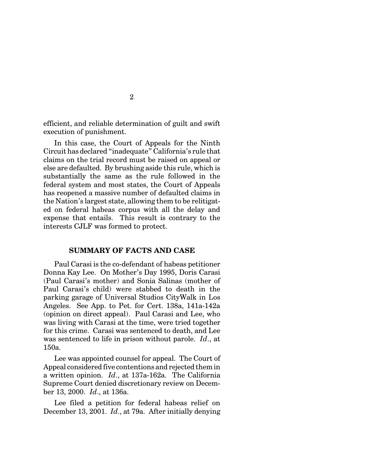efficient, and reliable determination of guilt and swift execution of punishment.

In this case, the Court of Appeals for the Ninth Circuit has declared "inadequate" California's rule that claims on the trial record must be raised on appeal or else are defaulted. By brushing aside this rule, which is substantially the same as the rule followed in the federal system and most states, the Court of Appeals has reopened a massive number of defaulted claims in the Nation's largest state, allowing them to be relitigated on federal habeas corpus with all the delay and expense that entails. This result is contrary to the interests CJLF was formed to protect.

### **SUMMARY OF FACTS AND CASE**

Paul Carasi is the co-defendant of habeas petitioner Donna Kay Lee. On Mother's Day 1995, Doris Carasi (Paul Carasi's mother) and Sonia Salinas (mother of Paul Carasi's child) were stabbed to death in the parking garage of Universal Studios CityWalk in Los Angeles. See App. to Pet. for Cert. 138a, 141a-142a (opinion on direct appeal). Paul Carasi and Lee, who was living with Carasi at the time, were tried together for this crime. Carasi was sentenced to death, and Lee was sentenced to life in prison without parole. *Id*., at 150a.

Lee was appointed counsel for appeal. The Court of Appeal considered five contentions and rejected them in a written opinion. *Id*., at 137a-162a. The California Supreme Court denied discretionary review on December 13, 2000. *Id*., at 136a.

Lee filed a petition for federal habeas relief on December 13, 2001. *Id*., at 79a. After initially denying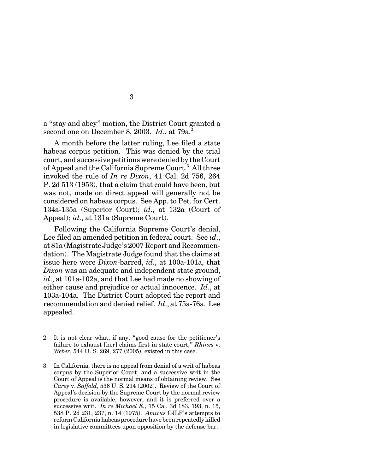a "stay and abey" motion, the District Court granted a second one on December 8, 2003. *Id.*, at 79a.<sup>2</sup>

A month before the latter ruling, Lee filed a state habeas corpus petition. This was denied by the trial court, and successive petitions were denied by the Court of Appeal and the California Supreme Court.<sup>3</sup> All three invoked the rule of *In re Dixon*, 41 Cal. 2d 756, 264 P. 2d 513 (1953), that a claim that could have been, but was not, made on direct appeal will generally not be considered on habeas corpus. See App. to Pet. for Cert. 134a-135a (Superior Court); *id*., at 132a (Court of Appeal); *id*., at 131a (Supreme Court).

Following the California Supreme Court's denial, Lee filed an amended petition in federal court. See *id*., at 81a (Magistrate Judge's 2007 Report and Recommendation). The Magistrate Judge found that the claims at issue here were *Dixon*-barred, *id*., at 100a-101a, that *Dixon* was an adequate and independent state ground, *id*., at 101a-102a, and that Lee had made no showing of either cause and prejudice or actual innocence. *Id*., at 103a-104a. The District Court adopted the report and recommendation and denied relief. *Id*., at 75a-76a. Lee appealed.

<sup>2.</sup> It is not clear what, if any, "good cause for the petitioner's failure to exhaust [her] claims first in state court," *Rhines* v. *Weber*, 544 U. S. 269, 277 (2005), existed in this case.

<sup>3.</sup> In California, there is no appeal from denial of a writ of habeas corpus by the Superior Court, and a successive writ in the Court of Appeal is the normal means of obtaining review. See *Carey* v. *Saffold*, 536 U. S. 214 (2002). Review of the Court of Appeal's decision by the Supreme Court by the normal review procedure is available, however, and it is preferred over a successive writ. *In re Michael E.*, 15 Cal. 3d 183, 193, n. 15, 538 P. 2d 231, 237, n. 14 (1975). *Amicus* CJLF's attempts to reform California habeas procedure have been repeatedly killed in legislative committees upon opposition by the defense bar.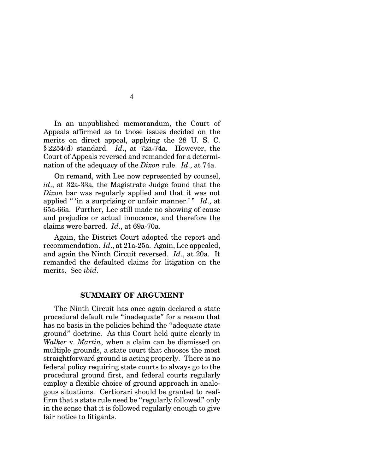In an unpublished memorandum, the Court of Appeals affirmed as to those issues decided on the merits on direct appeal, applying the 28 U. S. C. § 2254(d) standard. *Id*., at 72a-74a. However, the Court of Appeals reversed and remanded for a determination of the adequacy of the *Dixon* rule. *Id*., at 74a.

4

On remand, with Lee now represented by counsel, *id*., at 32a-33a, the Magistrate Judge found that the *Dixon* bar was regularly applied and that it was not applied " 'in a surprising or unfair manner.'" *Id.*, at 65a-66a. Further, Lee still made no showing of cause and prejudice or actual innocence, and therefore the claims were barred. *Id*., at 69a-70a.

Again, the District Court adopted the report and recommendation. *Id*., at 21a-25a. Again, Lee appealed, and again the Ninth Circuit reversed. *Id*., at 20a. It remanded the defaulted claims for litigation on the merits. See *ibid*.

#### **SUMMARY OF ARGUMENT**

The Ninth Circuit has once again declared a state procedural default rule "inadequate" for a reason that has no basis in the policies behind the "adequate state ground" doctrine. As this Court held quite clearly in *Walker* v. *Martin*, when a claim can be dismissed on multiple grounds, a state court that chooses the most straightforward ground is acting properly. There is no federal policy requiring state courts to always go to the procedural ground first, and federal courts regularly employ a flexible choice of ground approach in analogous situations. Certiorari should be granted to reaffirm that a state rule need be "regularly followed" only in the sense that it is followed regularly enough to give fair notice to litigants.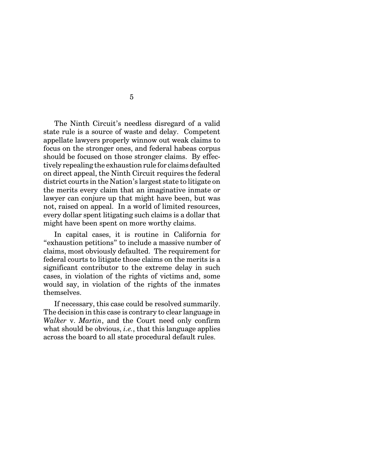The Ninth Circuit's needless disregard of a valid state rule is a source of waste and delay. Competent appellate lawyers properly winnow out weak claims to focus on the stronger ones, and federal habeas corpus should be focused on those stronger claims. By effectively repealing the exhaustion rule for claims defaulted on direct appeal, the Ninth Circuit requires the federal district courts in the Nation's largest state to litigate on the merits every claim that an imaginative inmate or lawyer can conjure up that might have been, but was not, raised on appeal. In a world of limited resources, every dollar spent litigating such claims is a dollar that might have been spent on more worthy claims.

In capital cases, it is routine in California for "exhaustion petitions" to include a massive number of claims, most obviously defaulted. The requirement for federal courts to litigate those claims on the merits is a significant contributor to the extreme delay in such cases, in violation of the rights of victims and, some would say, in violation of the rights of the inmates themselves.

If necessary, this case could be resolved summarily. The decision in this case is contrary to clear language in *Walker* v. *Martin*, and the Court need only confirm what should be obvious, *i.e.*, that this language applies across the board to all state procedural default rules.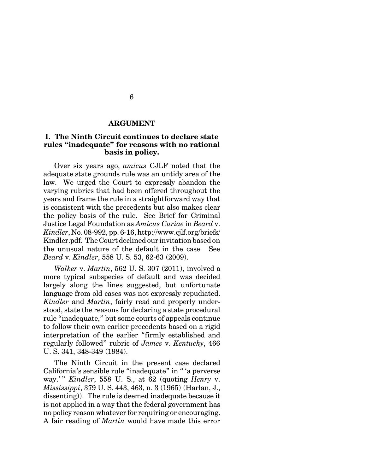#### **ARGUMENT**

## **I. The Ninth Circuit continues to declare state rules "inadequate" for reasons with no rational basis in policy.**

Over six years ago, *amicus* CJLF noted that the adequate state grounds rule was an untidy area of the law. We urged the Court to expressly abandon the varying rubrics that had been offered throughout the years and frame the rule in a straightforward way that is consistent with the precedents but also makes clear the policy basis of the rule. See Brief for Criminal Justice Legal Foundation as *Amicus Curiae* in *Beard* v. *Kindler*, No. 08-992, pp. 6-16, http://www.cjlf.org/briefs/ Kindler.pdf. The Court declined our invitation based on the unusual nature of the default in the case. See *Beard* v. *Kindler*, 558 U. S. 53, 62-63 (2009).

*Walker* v. *Martin*, 562 U. S. 307 (2011), involved a more typical subspecies of default and was decided largely along the lines suggested, but unfortunate language from old cases was not expressly repudiated. *Kindler* and *Martin*, fairly read and properly understood, state the reasons for declaring a state procedural rule "inadequate," but some courts of appeals continue to follow their own earlier precedents based on a rigid interpretation of the earlier "firmly established and regularly followed" rubric of *James* v. *Kentucky*, 466 U. S. 341, 348-349 (1984).

The Ninth Circuit in the present case declared California's sensible rule "inadequate" in " 'a perverse way.' " *Kindler*, 558 U. S., at 62 (quoting *Henry* v. *Mississippi*, 379 U. S. 443, 463, n. 3 (1965) (Harlan, J., dissenting)). The rule is deemed inadequate because it is not applied in a way that the federal government has no policy reason whatever for requiring or encouraging. A fair reading of *Martin* would have made this error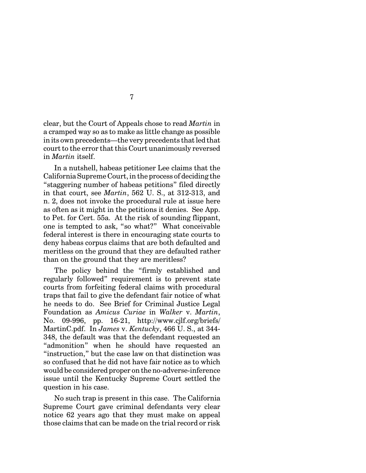clear, but the Court of Appeals chose to read *Martin* in a cramped way so as to make as little change as possible in its own precedents—the very precedents that led that court to the error that this Court unanimously reversed in *Martin* itself.

In a nutshell, habeas petitioner Lee claims that the California Supreme Court, in the process of deciding the "staggering number of habeas petitions" filed directly in that court, see *Martin*, 562 U. S., at 312-313, and n. 2, does not invoke the procedural rule at issue here as often as it might in the petitions it denies. See App. to Pet. for Cert. 55a. At the risk of sounding flippant, one is tempted to ask, "so what?" What conceivable federal interest is there in encouraging state courts to deny habeas corpus claims that are both defaulted and meritless on the ground that they are defaulted rather than on the ground that they are meritless?

The policy behind the "firmly established and regularly followed" requirement is to prevent state courts from forfeiting federal claims with procedural traps that fail to give the defendant fair notice of what he needs to do. See Brief for Criminal Justice Legal Foundation as *Amicus Curiae* in *Walker* v. *Martin*, No. 09-996, pp. 16-21, http://www.cjlf.org/briefs/ MartinC.pdf. In *James* v. *Kentucky*, 466 U. S., at 344- 348, the default was that the defendant requested an "admonition" when he should have requested an "instruction," but the case law on that distinction was so confused that he did not have fair notice as to which would be considered proper on theno-adverse-inference issue until the Kentucky Supreme Court settled the question in his case.

No such trap is present in this case. The California Supreme Court gave criminal defendants very clear notice 62 years ago that they must make on appeal those claims that can be made on the trial record or risk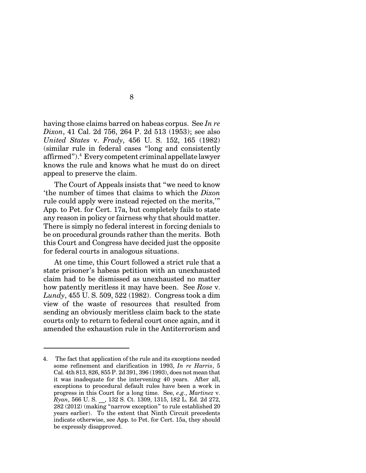having those claims barred on habeas corpus. See *In re Dixon*, 41 Cal. 2d 756, 264 P. 2d 513 (1953); see also *United States* v. *Frady*, 456 U. S. 152, 165 (1982) (similar rule in federal cases "long and consistently affirmed").<sup>4</sup> Every competent criminal appellate lawyer knows the rule and knows what he must do on direct appeal to preserve the claim.

The Court of Appeals insists that "we need to know 'the number of times that claims to which the *Dixon* rule could apply were instead rejected on the merits,'" App. to Pet. for Cert. 17a, but completely fails to state any reason in policy or fairness why that should matter. There is simply no federal interest in forcing denials to be on procedural grounds rather than the merits. Both this Court and Congress have decided just the opposite for federal courts in analogous situations.

At one time, this Court followed a strict rule that a state prisoner's habeas petition with an unexhausted claim had to be dismissed as unexhausted no matter how patently meritless it may have been. See *Rose* v. *Lundy*, 455 U. S. 509, 522 (1982). Congress took a dim view of the waste of resources that resulted from sending an obviously meritless claim back to the state courts only to return to federal court once again, and it amended the exhaustion rule in the Antiterrorism and

<sup>4.</sup> The fact that application of the rule and its exceptions needed some refinement and clarification in 1993, *In re Harris*, 5 Cal. 4th 813, 826, 855 P. 2d 391, 396 (1993), does not mean that it was inadequate for the intervening 40 years. After all, exceptions to procedural default rules have been a work in progress in this Court for a long time. See, *e.g.*, *Martinez* v. *Ryan*, 566 U. S. \_\_, 132 S. Ct. 1309, 1315, 182 L. Ed. 2d 272, 282 (2012) (making "narrow exception" to rule established 20 years earlier). To the extent that Ninth Circuit precedents indicate otherwise, see App. to Pet. for Cert. 15a, they should be expressly disapproved.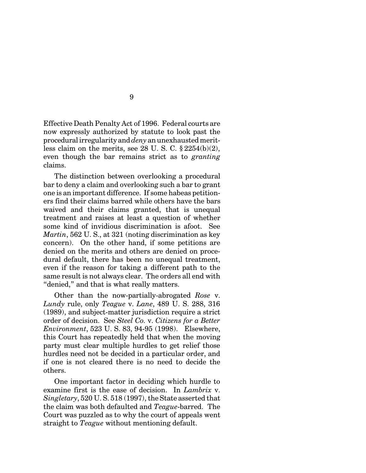Effective Death Penalty Act of 1996. Federal courts are now expressly authorized by statute to look past the procedural irregularity and *deny* an unexhausted meritless claim on the merits, see 28 U. S. C.  $\S 2254(b)(2)$ , even though the bar remains strict as to *granting* claims.

The distinction between overlooking a procedural bar to deny a claim and overlooking such a bar to grant one is an important difference. If some habeas petitioners find their claims barred while others have the bars waived and their claims granted, that is unequal treatment and raises at least a question of whether some kind of invidious discrimination is afoot. See *Martin*, 562 U. S., at 321 (noting discrimination as key concern). On the other hand, if some petitions are denied on the merits and others are denied on procedural default, there has been no unequal treatment, even if the reason for taking a different path to the same result is not always clear. The orders all end with "denied," and that is what really matters.

Other than the now-partially-abrogated *Rose* v. *Lundy* rule, only *Teague* v. *Lane*, 489 U. S. 288, 316 (1989), and subject-matter jurisdiction require a strict order of decision. See *Steel Co.* v. *Citizens for a Better Environment*, 523 U. S. 83, 94-95 (1998). Elsewhere, this Court has repeatedly held that when the moving party must clear multiple hurdles to get relief those hurdles need not be decided in a particular order, and if one is not cleared there is no need to decide the others.

One important factor in deciding which hurdle to examine first is the ease of decision. In *Lambrix* v. *Singletary*, 520 U. S. 518 (1997), the State asserted that the claim was both defaulted and *Teague*-barred. The Court was puzzled as to why the court of appeals went straight to *Teague* without mentioning default.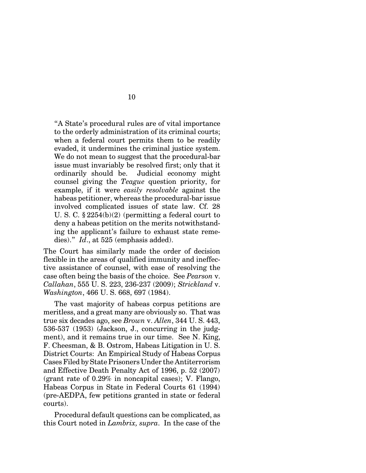"A State's procedural rules are of vital importance to the orderly administration of its criminal courts; when a federal court permits them to be readily evaded, it undermines the criminal justice system. We do not mean to suggest that the procedural-bar issue must invariably be resolved first; only that it ordinarily should be. Judicial economy might counsel giving the *Teague* question priority, for example, if it were *easily resolvable* against the habeas petitioner, whereas the procedural-bar issue involved complicated issues of state law. Cf. 28 U. S. C. § 2254(b)(2) (permitting a federal court to deny a habeas petition on the merits notwithstanding the applicant's failure to exhaust state remedies)." *Id*., at 525 (emphasis added).

The Court has similarly made the order of decision flexible in the areas of qualified immunity and ineffective assistance of counsel, with ease of resolving the case often being the basis of the choice. See *Pearson* v. *Callahan*, 555 U. S. 223, 236-237 (2009); *Strickland* v. *Washington*, 466 U. S. 668, 697 (1984).

The vast majority of habeas corpus petitions are meritless, and a great many are obviously so. That was true six decades ago, see *Brown* v. *Allen*, 344 U. S. 443, 536-537 (1953) (Jackson, J., concurring in the judgment), and it remains true in our time. See N. King, F. Cheesman, & B. Ostrom, Habeas Litigation in U. S. District Courts: An Empirical Study of Habeas Corpus Cases Filed by State Prisoners Under the Antiterrorism and Effective Death Penalty Act of 1996, p. 52 (2007) (grant rate of 0.29% in noncapital cases); V. Flango, Habeas Corpus in State in Federal Courts 61 (1994) (pre-AEDPA, few petitions granted in state or federal courts).

Procedural default questions can be complicated, as this Court noted in *Lambrix, supra*. In the case of the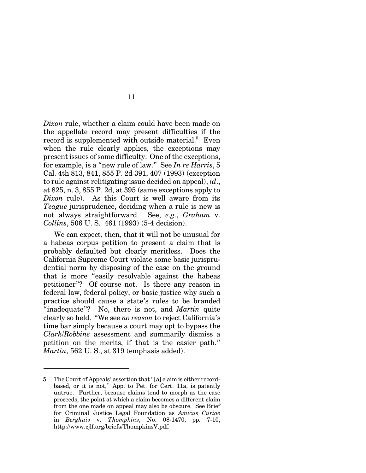*Dixon* rule, whether a claim could have been made on the appellate record may present difficulties if the record is supplemented with outside material.<sup>5</sup> Even when the rule clearly applies, the exceptions may present issues of some difficulty. One of the exceptions, for example, is a "new rule of law." See *In re Harris*, 5 Cal. 4th 813, 841, 855 P. 2d 391, 407 (1993) (exception to rule against relitigating issue decided on appeal); *id*., at 825, n. 3, 855 P. 2d, at 395 (same exceptions apply to *Dixon* rule). As this Court is well aware from its *Teague* jurisprudence, deciding when a rule is new is not always straightforward. See, *e.g.*, *Graham* v. *Collins*, 506 U. S. 461 (1993) (5-4 decision).

We can expect, then, that it will not be unusual for a habeas corpus petition to present a claim that is probably defaulted but clearly meritless. Does the California Supreme Court violate some basic jurisprudential norm by disposing of the case on the ground that is more "easily resolvable against the habeas petitioner"? Of course not. Is there any reason in federal law, federal policy, or basic justice why such a practice should cause a state's rules to be branded "inadequate"? No, there is not, and *Martin* quite clearly so held. "We see *no reason* to reject California's time bar simply because a court may opt to bypass the *Clark/Robbins* assessment and summarily dismiss a petition on the merits, if that is the easier path." *Martin*, 562 U. S., at 319 (emphasis added).

<sup>5.</sup> TheCourt of Appeals' assertion that "[a] claim is either recordbased, or it is not," App. to Pet. for Cert. 11a, is patently untrue. Further, because claims tend to morph as the case proceeds, the point at which a claim becomes a different claim from the one made on appeal may also be obscure. See Brief for Criminal Justice Legal Foundation as *Amicus Curiae* in *Berghuis* v. *Thompkins*, No. 08-1470, pp. 7-10, http://www.cjlf.org/briefs/ThompkinsV.pdf.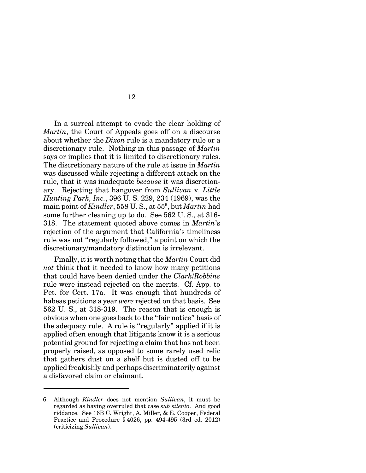In a surreal attempt to evade the clear holding of *Martin*, the Court of Appeals goes off on a discourse about whether the *Dixon* rule is a mandatory rule or a discretionary rule. Nothing in this passage of *Martin* says or implies that it is limited to discretionary rules. The discretionary nature of the rule at issue in *Martin* was discussed while rejecting a different attack on the rule, that it was inadequate *because* it was discretionary. Rejecting that hangover from *Sullivan* v. *Little Hunting Park, Inc.*, 396 U. S. 229, 234 (1969), was the main point of *Kindler*, 558 U. S., at 55<sup>6</sup> , but *Martin* had some further cleaning up to do. See 562 U. S., at 316- 318. The statement quoted above comes in *Martin*'s rejection of the argument that California's timeliness rule was not "regularly followed," a point on which the discretionary/mandatory distinction is irrelevant.

Finally, it is worth noting that the *Martin* Court did *not* think that it needed to know how many petitions that could have been denied under the *Clark/Robbins* rule were instead rejected on the merits. Cf. App. to Pet. for Cert. 17a. It was enough that hundreds of habeas petitions a year *were* rejected on that basis. See 562 U. S., at 318-319. The reason that is enough is obvious when one goes back to the "fair notice" basis of the adequacy rule. A rule is "regularly" applied if it is applied often enough that litigants know it is a serious potential ground for rejecting a claim that has not been properly raised, as opposed to some rarely used relic that gathers dust on a shelf but is dusted off to be applied freakishly and perhaps discriminatorily against a disfavored claim or claimant.

<sup>6.</sup> Although *Kindler* does not mention *Sullivan*, it must be regarded as having overruled that case *sub silento*. And good riddance. See 16B C. Wright, A. Miller, & E. Cooper, Federal Practice and Procedure § 4026, pp. 494-495 (3rd ed. 2012) (criticizing *Sullivan*).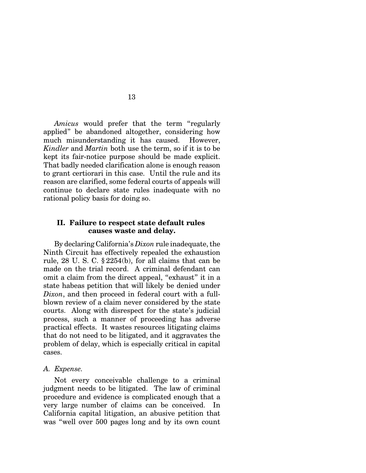*Amicus* would prefer that the term "regularly applied" be abandoned altogether, considering how much misunderstanding it has caused. However, *Kindler* and *Martin* both use the term, so if it is to be kept its fair-notice purpose should be made explicit. That badly needed clarification alone is enough reason to grant certiorari in this case. Until the rule and its reason are clarified, some federal courts of appeals will continue to declare state rules inadequate with no rational policy basis for doing so.

13

#### **II. Failure to respect state default rules causes waste and delay.**

By declaring California's *Dixon* rule inadequate, the Ninth Circuit has effectively repealed the exhaustion rule, 28 U. S. C. § 2254(b), for all claims that can be made on the trial record. A criminal defendant can omit a claim from the direct appeal, "exhaust" it in a state habeas petition that will likely be denied under *Dixon*, and then proceed in federal court with a fullblown review of a claim never considered by the state courts. Along with disrespect for the state's judicial process, such a manner of proceeding has adverse practical effects. It wastes resources litigating claims that do not need to be litigated, and it aggravates the problem of delay, which is especially critical in capital cases.

#### *A. Expense.*

Not every conceivable challenge to a criminal judgment needs to be litigated. The law of criminal procedure and evidence is complicated enough that a very large number of claims can be conceived. In California capital litigation, an abusive petition that was "well over 500 pages long and by its own count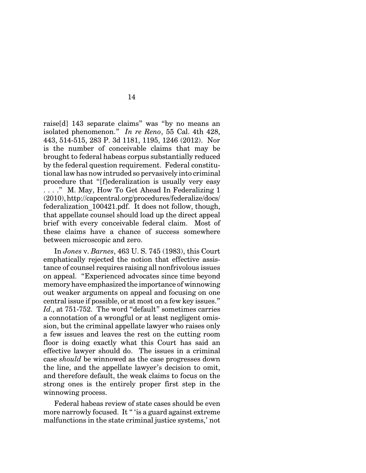raise[d] 143 separate claims" was "by no means an isolated phenomenon." *In re Reno*, 55 Cal. 4th 428, 443, 514-515, 283 P. 3d 1181, 1195, 1246 (2012). Nor is the number of conceivable claims that may be brought to federal habeas corpus substantially reduced by the federal question requirement. Federal constitutional law has now intruded so pervasively into criminal procedure that "[f]ederalization is usually very easy . . . ." M. May, How To Get Ahead In Federalizing 1 (2010),http://capcentral.org/procedures/federalize/docs/ federalization\_100421.pdf. It does not follow, though, that appellate counsel should load up the direct appeal brief with every conceivable federal claim. Most of these claims have a chance of success somewhere between microscopic and zero.

In *Jones* v. *Barnes*, 463 U. S. 745 (1983), this Court emphatically rejected the notion that effective assistance of counsel requires raising all nonfrivolous issues on appeal. "Experienced advocates since time beyond memory have emphasized the importance of winnowing out weaker arguments on appeal and focusing on one central issue if possible, or at most on a few key issues." Id., at 751-752. The word "default" sometimes carries a connotation of a wrongful or at least negligent omission, but the criminal appellate lawyer who raises only a few issues and leaves the rest on the cutting room floor is doing exactly what this Court has said an effective lawyer should do. The issues in a criminal case *should* be winnowed as the case progresses down the line, and the appellate lawyer's decision to omit, and therefore default, the weak claims to focus on the strong ones is the entirely proper first step in the winnowing process.

Federal habeas review of state cases should be even more narrowly focused. It " 'is a guard against extreme malfunctions in the state criminal justice systems,' not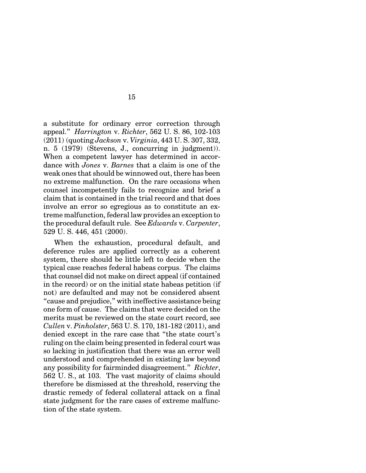a substitute for ordinary error correction through appeal." *Harrington* v. *Richter*, 562 U. S. 86, 102-103 (2011) (quoting *Jackson* v. *Virginia*, 443 U. S. 307, 332, n. 5 (1979) (Stevens, J., concurring in judgment)). When a competent lawyer has determined in accordance with *Jones* v. *Barnes* that a claim is one of the weak ones that should be winnowed out, there has been no extreme malfunction. On the rare occasions when counsel incompetently fails to recognize and brief a claim that is contained in the trial record and that does involve an error so egregious as to constitute an extreme malfunction, federal law provides an exception to the procedural default rule. See *Edwards* v. *Carpenter*, 529 U. S. 446, 451 (2000).

When the exhaustion, procedural default, and deference rules are applied correctly as a coherent system, there should be little left to decide when the typical case reaches federal habeas corpus. The claims that counsel did not make on direct appeal (if contained in the record) or on the initial state habeas petition (if not) are defaulted and may not be considered absent "cause and prejudice," with ineffective assistance being one form of cause. The claims that were decided on the merits must be reviewed on the state court record, see *Cullen* v. *Pinholster*, 563 U. S. 170, 181-182 (2011), and denied except in the rare case that "the state court's ruling on the claim being presented in federal court was so lacking in justification that there was an error well understood and comprehended in existing law beyond any possibility for fairminded disagreement." *Richter*, 562 U. S., at 103. The vast majority of claims should therefore be dismissed at the threshold, reserving the drastic remedy of federal collateral attack on a final state judgment for the rare cases of extreme malfunction of the state system.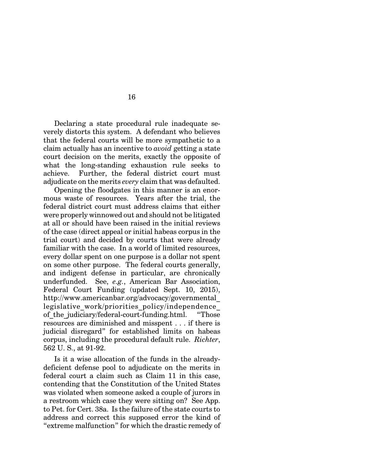Declaring a state procedural rule inadequate severely distorts this system. A defendant who believes that the federal courts will be more sympathetic to a claim actually has an incentive to *avoid* getting a state court decision on the merits, exactly the opposite of what the long-standing exhaustion rule seeks to achieve. Further, the federal district court must adjudicate on the merits *every* claim that was defaulted.

Opening the floodgates in this manner is an enormous waste of resources. Years after the trial, the federal district court must address claims that either were properly winnowed out and should not be litigated at all or should have been raised in the initial reviews of the case (direct appeal or initial habeas corpus in the trial court) and decided by courts that were already familiar with the case. In a world of limited resources, every dollar spent on one purpose is a dollar not spent on some other purpose. The federal courts generally, and indigent defense in particular, are chronically underfunded. See, *e.g.*, American Bar Association, Federal Court Funding (updated Sept. 10, 2015), http://www.americanbar.org/advocacy/governmental\_ legislative work/priorities policy/independence of the judiciary/federal-court-funding.html. "Those resources are diminished and misspent . . . if there is judicial disregard" for established limits on habeas corpus, including the procedural default rule. *Richter*, 562 U. S., at 91-92.

Is it a wise allocation of the funds in the alreadydeficient defense pool to adjudicate on the merits in federal court a claim such as Claim 11 in this case, contending that the Constitution of the United States was violated when someone asked a couple of jurors in a restroom which case they were sitting on? See App. to Pet. for Cert. 38a. Is the failure of the state courts to address and correct this supposed error the kind of "extreme malfunction" for which the drastic remedy of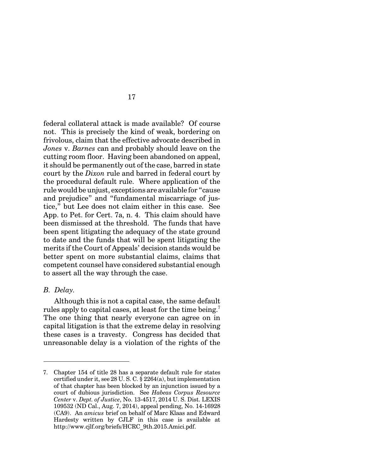federal collateral attack is made available? Of course not. This is precisely the kind of weak, bordering on frivolous, claim that the effective advocate described in *Jones* v. *Barnes* can and probably should leave on the cutting room floor. Having been abandoned on appeal, it should be permanently out of the case, barred in state court by the *Dixon* rule and barred in federal court by the procedural default rule. Where application of the rule would be unjust, exceptions are available for "cause and prejudice" and "fundamental miscarriage of justice," but Lee does not claim either in this case. See App. to Pet. for Cert. 7a, n. 4. This claim should have been dismissed at the threshold. The funds that have been spent litigating the adequacy of the state ground to date and the funds that will be spent litigating the merits if the Court of Appeals' decision stands would be better spent on more substantial claims, claims that competent counsel have considered substantial enough to assert all the way through the case.

#### *B. Delay.*

Although this is not a capital case, the same default rules apply to capital cases, at least for the time being.<sup>7</sup> The one thing that nearly everyone can agree on in capital litigation is that the extreme delay in resolving these cases is a travesty. Congress has decided that unreasonable delay is a violation of the rights of the

<sup>7.</sup> Chapter 154 of title 28 has a separate default rule for states certified under it, see 28 U. S. C. § 2264(a), but implementation of that chapter has been blocked by an injunction issued by a court of dubious jurisdiction. See *Habeas Corpus Resource Center* v. *Dept. of Justice*, No. 13-4517, 2014 U. S. Dist. LEXIS 109532 (ND Cal., Aug. 7, 2014), appeal pending, No. 14-16928 (CA9). An *amicus* brief on behalf of Marc Klaas and Edward Hardesty written by CJLF in this case is available at http://www.cjlf.org/briefs/HCRC\_9th.2015.Amici.pdf.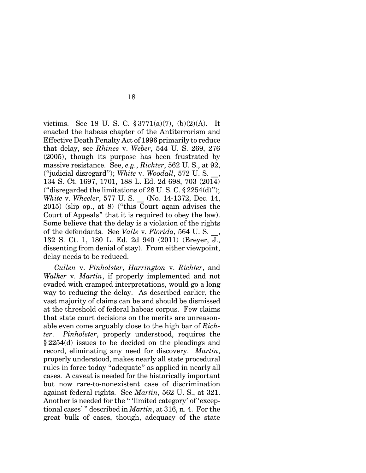victims. See 18 U. S. C. § 3771(a)(7), (b)(2)(A). It enacted the habeas chapter of the Antiterrorism and Effective Death Penalty Act of 1996 primarily to reduce that delay, see *Rhines* v. *Weber*, 544 U. S. 269, 276 (2005), though its purpose has been frustrated by massive resistance. See, *e.g.*, *Richter*, 562 U. S., at 92, ("judicial disregard"); *White* v. *Woodall*, 572 U. S. \_\_, 134 S. Ct. 1697, 1701, 188 L. Ed. 2d 698, 703 (2014) ("disregarded the limitations of 28 U.S.C.  $\S 2254(d)$ "); *White* v. *Wheeler*, 577 U. S. \_\_ (No. 14-1372, Dec. 14, 2015) (slip op., at 8) ("this Court again advises the Court of Appeals" that it is required to obey the law). Some believe that the delay is a violation of the rights of the defendants. See *Valle* v. *Florida*, 564 U. S. \_\_, 132 S. Ct. 1, 180 L. Ed. 2d 940 (2011) (Breyer, J., dissenting from denial of stay). From either viewpoint, delay needs to be reduced.

*Cullen* v. *Pinholster*, *Harrington* v. *Richter*, and *Walker* v. *Martin*, if properly implemented and not evaded with cramped interpretations, would go a long way to reducing the delay. As described earlier, the vast majority of claims can be and should be dismissed at the threshold of federal habeas corpus. Few claims that state court decisions on the merits are unreasonable even come arguably close to the high bar of *Richter*. *Pinholster*, properly understood, requires the § 2254(d) issues to be decided on the pleadings and record, eliminating any need for discovery. *Martin*, properly understood, makes nearly all state procedural rules in force today "adequate" as applied in nearly all cases. A caveat is needed for the historically important but now rare-to-nonexistent case of discrimination against federal rights. See *Martin*, 562 U. S., at 321. Another is needed for the " 'limited category' of 'exceptional cases' " described in *Martin*, at 316, n. 4. For the great bulk of cases, though, adequacy of the state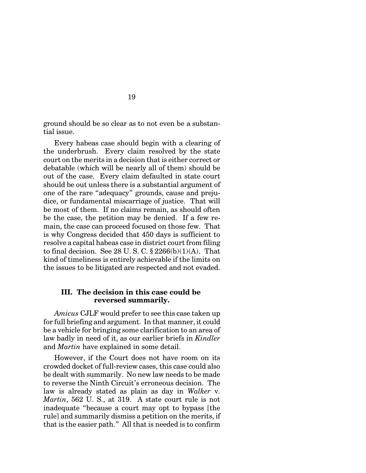ground should be so clear as to not even be a substantial issue.

Every habeas case should begin with a clearing of the underbrush. Every claim resolved by the state court on the merits in a decision that is either correct or debatable (which will be nearly all of them) should be out of the case. Every claim defaulted in state court should be out unless there is a substantial argument of one of the rare "adequacy" grounds, cause and prejudice, or fundamental miscarriage of justice. That will be most of them. If no claims remain, as should often be the case, the petition may be denied. If a few remain, the case can proceed focused on those few. That is why Congress decided that 450 days is sufficient to resolve a capital habeas case in district court from filing to final decision. See 28 U.S.C.  $\S 2266(b)(1)(A)$ . That kind of timeliness is entirely achievable if the limits on the issues to be litigated are respected and not evaded.

## **III. The decision in this case could be reversed summarily.**

*Amicus* CJLF would prefer to see this case taken up for full briefing and argument. In that manner, it could be a vehicle for bringing some clarification to an area of law badly in need of it, as our earlier briefs in *Kindler* and *Martin* have explained in some detail.

However, if the Court does not have room on its crowded docket of full-review cases, this case could also be dealt with summarily. No new law needs to be made to reverse the Ninth Circuit's erroneous decision. The law is already stated as plain as day in *Walker* v. *Martin*, 562 U. S., at 319. A state court rule is not inadequate "because a court may opt to bypass [the rule] and summarily dismiss a petition on the merits, if that is the easier path." All that is needed is to confirm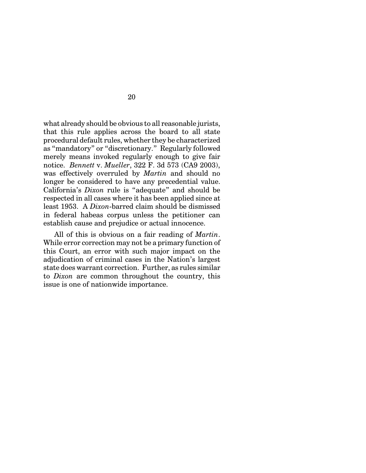what already should be obvious to all reasonable jurists, that this rule applies across the board to all state procedural default rules, whether they be characterized as "mandatory" or "discretionary." Regularly followed merely means invoked regularly enough to give fair notice. *Bennett* v. *Mueller*, 322 F. 3d 573 (CA9 2003), was effectively overruled by *Martin* and should no longer be considered to have any precedential value. California's *Dixon* rule is "adequate" and should be respected in all cases where it has been applied since at least 1953. A *Dixon*-barred claim should be dismissed in federal habeas corpus unless the petitioner can establish cause and prejudice or actual innocence.

All of this is obvious on a fair reading of *Martin*. While error correction may not be a primary function of this Court, an error with such major impact on the adjudication of criminal cases in the Nation's largest state does warrant correction. Further, as rules similar to *Dixon* are common throughout the country, this issue is one of nationwide importance.